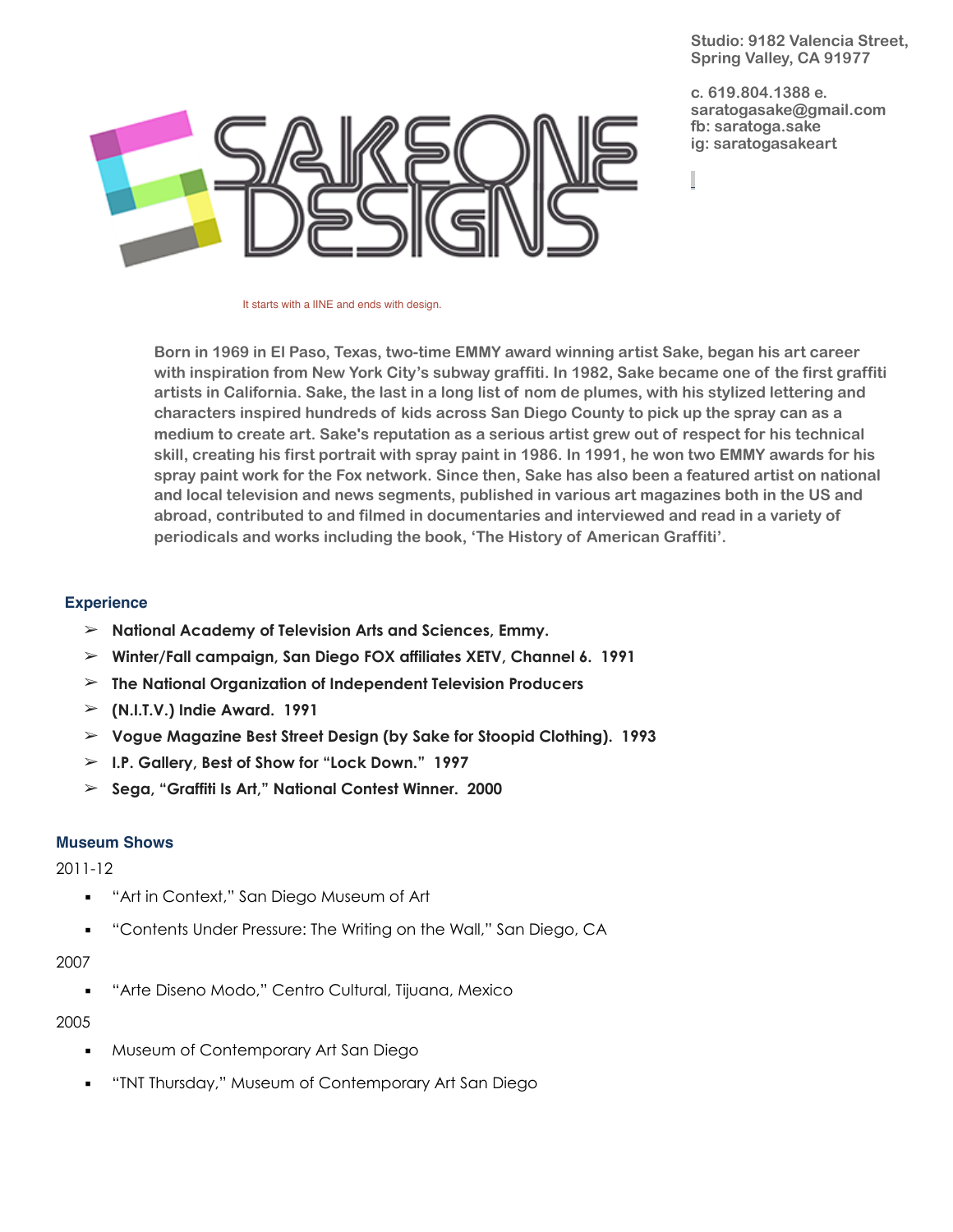**Studio: 9182 Valencia Street, Spring Valley, CA 91977**

**c. 619.804.1388 e. [saratogasake@gmail.com](mailto:saratogasake@gmail.com) fb: saratoga.sake ig: saratogasakeart** 



It starts with a IINE and ends with design.

**Born in 1969 in El Paso, Texas, two-time EMMY award winning artist Sake, began his art career with inspiration from New York City's subway graffiti. In 1982, Sake became one of the first graffiti artists in California. Sake, the last in a long list of nom de plumes, with his stylized lettering and characters inspired hundreds of kids across San Diego County to pick up the spray can as a medium to create art. Sake's reputation as a serious artist grew out of respect for his technical skill, creating his first portrait with spray paint in 1986. In 1991, he won two EMMY awards for his spray paint work for the Fox network. Since then, Sake has also been a featured artist on national and local television and news segments, published in various art magazines both in the US and abroad, contributed to and filmed in documentaries and interviewed and read in a variety of periodicals and works including the book, 'The History of American Graffiti'.**

## **Experience**

- ➢ **National Academy of Television Arts and Sciences, Emmy.**
- ➢ **Winter/Fall campaign, San Diego FOX affiliates XETV, Channel 6. 1991**
- ➢ **The National Organization of Independent Television Producers**
- ➢ **(N.I.T.V.) Indie Award. 1991**
- ➢ **Vogue Magazine Best Street Design (by Sake for Stoopid Clothing). 1993**
- ➢ **I.P. Gallery, Best of Show for "Lock Down." 1997**
- ➢ **Sega, "Graffiti Is Art," National Contest Winner. 2000**

## **Museum Shows**

2011-12

- **■** "Art in Context," San Diego Museum of Art
- "Contents Under Pressure: The Writing on the Wall," San Diego, CA

# 2007

▪ "Arte Diseno Modo," Centro Cultural, Tijuana, Mexico

# 2005

- Museum of Contemporary Art San Diego
- "INT Thursday," Museum of Contemporary Art San Diego